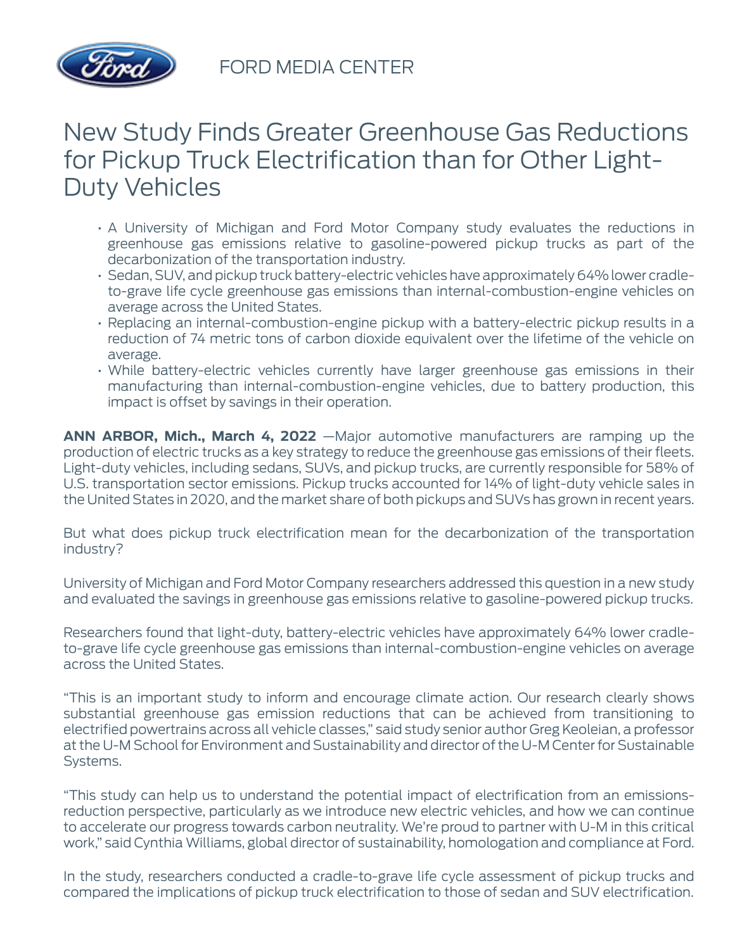

FORD MEDIA CENTER

## New Study Finds Greater Greenhouse Gas Reductions for Pickup Truck Electrification than for Other Light-Duty Vehicles

- A University of Michigan and Ford Motor Company study evaluates the reductions in greenhouse gas emissions relative to gasoline-powered pickup trucks as part of the decarbonization of the transportation industry.
- Sedan, SUV, and pickup truck battery-electric vehicles have approximately 64% lower cradleto-grave life cycle greenhouse gas emissions than internal-combustion-engine vehicles on average across the United States.
- Replacing an internal-combustion-engine pickup with a battery-electric pickup results in a reduction of 74 metric tons of carbon dioxide equivalent over the lifetime of the vehicle on average.
- While battery-electric vehicles currently have larger greenhouse gas emissions in their manufacturing than internal-combustion-engine vehicles, due to battery production, this impact is offset by savings in their operation.

**ANN ARBOR, Mich., March 4, 2022** —Major automotive manufacturers are ramping up the production of electric trucks as a key strategy to reduce the greenhouse gas emissions of their fleets. Light-duty vehicles, including sedans, SUVs, and pickup trucks, are currently responsible for 58% of U.S. transportation sector emissions. Pickup trucks accounted for 14% of light-duty vehicle sales in the United States in 2020, and the market share of both pickups and SUVs has grown in recent years.

But what does pickup truck electrification mean for the decarbonization of the transportation industry?

University of Michigan and Ford Motor Company researchers addressed this question in a new study and evaluated the savings in greenhouse gas emissions relative to gasoline-powered pickup trucks.

Researchers found that light-duty, battery-electric vehicles have approximately 64% lower cradleto-grave life cycle greenhouse gas emissions than internal-combustion-engine vehicles on average across the United States.

"This is an important study to inform and encourage climate action. Our research clearly shows substantial greenhouse gas emission reductions that can be achieved from transitioning to electrified powertrains across all vehicle classes," said study senior author Greg Keoleian, a professor at the U-M School for Environment and Sustainability and director of the U-M Center for Sustainable Systems.

"This study can help us to understand the potential impact of electrification from an emissionsreduction perspective, particularly as we introduce new electric vehicles, and how we can continue to accelerate our progress towards carbon neutrality. We're proud to partner with U-M in this critical work," said Cynthia Williams, global director of sustainability, homologation and compliance at Ford.

In the study, researchers conducted a cradle-to-grave life cycle assessment of pickup trucks and compared the implications of pickup truck electrification to those of sedan and SUV electrification.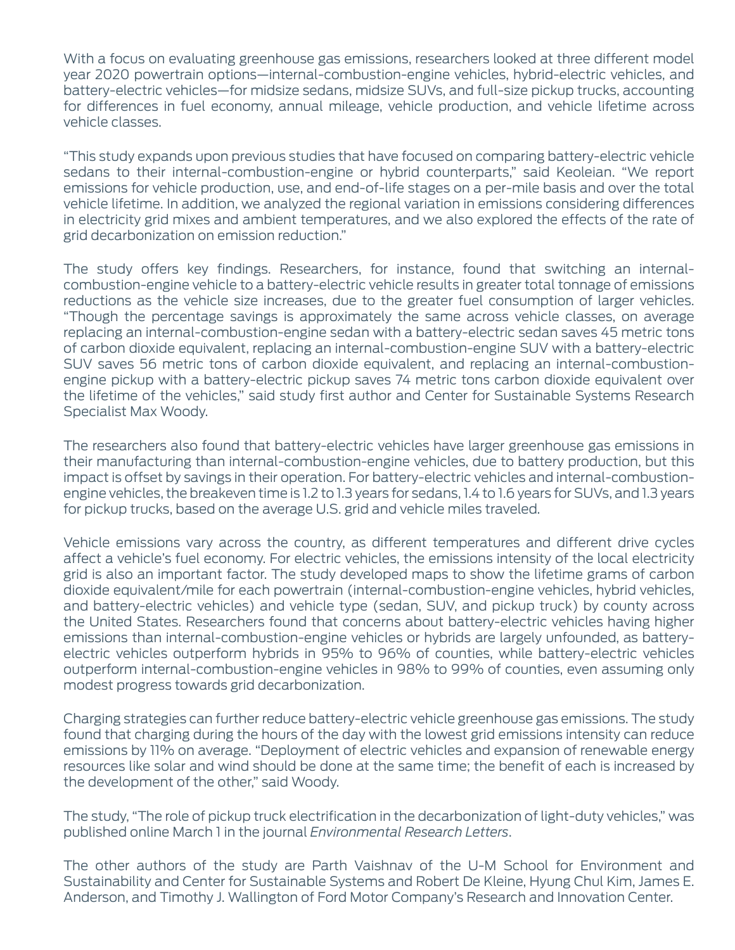With a focus on evaluating greenhouse gas emissions, researchers looked at three different model year 2020 powertrain options—internal-combustion-engine vehicles, hybrid-electric vehicles, and battery-electric vehicles—for midsize sedans, midsize SUVs, and full-size pickup trucks, accounting for differences in fuel economy, annual mileage, vehicle production, and vehicle lifetime across vehicle classes.

"This study expands upon previous studies that have focused on comparing battery-electric vehicle sedans to their internal-combustion-engine or hybrid counterparts," said Keoleian. "We report emissions for vehicle production, use, and end-of-life stages on a per-mile basis and over the total vehicle lifetime. In addition, we analyzed the regional variation in emissions considering differences in electricity grid mixes and ambient temperatures, and we also explored the effects of the rate of grid decarbonization on emission reduction."

The study offers key findings. Researchers, for instance, found that switching an internalcombustion-engine vehicle to a battery-electric vehicle results in greater total tonnage of emissions reductions as the vehicle size increases, due to the greater fuel consumption of larger vehicles. "Though the percentage savings is approximately the same across vehicle classes, on average replacing an internal-combustion-engine sedan with a battery-electric sedan saves 45 metric tons of carbon dioxide equivalent, replacing an internal-combustion-engine SUV with a battery-electric SUV saves 56 metric tons of carbon dioxide equivalent, and replacing an internal-combustionengine pickup with a battery-electric pickup saves 74 metric tons carbon dioxide equivalent over the lifetime of the vehicles," said study first author and Center for Sustainable Systems Research Specialist Max Woody.

The researchers also found that battery-electric vehicles have larger greenhouse gas emissions in their manufacturing than internal-combustion-engine vehicles, due to battery production, but this impact is offset by savings in their operation. For battery-electric vehicles and internal-combustionengine vehicles, the breakeven time is 1.2 to 1.3 years for sedans, 1.4 to 1.6 years for SUVs, and 1.3 years for pickup trucks, based on the average U.S. grid and vehicle miles traveled.

Vehicle emissions vary across the country, as different temperatures and different drive cycles affect a vehicle's fuel economy. For electric vehicles, the emissions intensity of the local electricity grid is also an important factor. The study developed maps to show the lifetime grams of carbon dioxide equivalent/mile for each powertrain (internal-combustion-engine vehicles, hybrid vehicles, and battery-electric vehicles) and vehicle type (sedan, SUV, and pickup truck) by county across the United States. Researchers found that concerns about battery-electric vehicles having higher emissions than internal-combustion-engine vehicles or hybrids are largely unfounded, as batteryelectric vehicles outperform hybrids in 95% to 96% of counties, while battery-electric vehicles outperform internal-combustion-engine vehicles in 98% to 99% of counties, even assuming only modest progress towards grid decarbonization.

Charging strategies can further reduce battery-electric vehicle greenhouse gas emissions. The study found that charging during the hours of the day with the lowest grid emissions intensity can reduce emissions by 11% on average. "Deployment of electric vehicles and expansion of renewable energy resources like solar and wind should be done at the same time; the benefit of each is increased by the development of the other," said Woody.

The study, "The role of pickup truck electrification in the decarbonization of light-duty vehicles," was published online March 1 in the journal *Environmental Research Letters*.

The other authors of the study are Parth Vaishnav of the U-M School for Environment and Sustainability and Center for Sustainable Systems and Robert De Kleine, Hyung Chul Kim, James E. Anderson, and Timothy J. Wallington of Ford Motor Company's Research and Innovation Center.